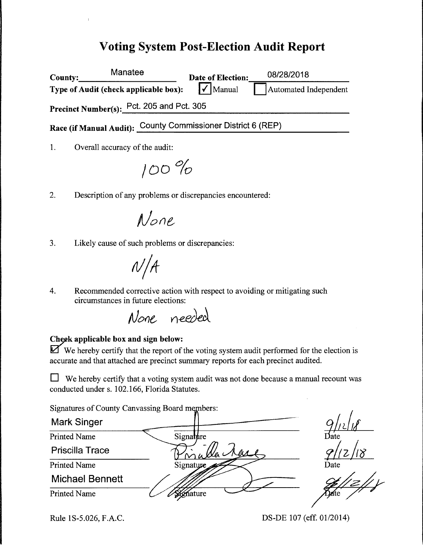## **Voting System Post-Election Audit Report**

| <b>County:</b> | Manatee                                                      | Date of Election:           | 08/28/2018            |
|----------------|--------------------------------------------------------------|-----------------------------|-----------------------|
|                | Type of Audit (check applicable box):                        | $\sqrt{\phantom{a}}$ Manual | Automated Independent |
|                | Precinct Number(s): Pct. 205 and Pct. 305                    |                             |                       |
|                | Race (if Manual Audit): County Commissioner District 6 (REP) |                             |                       |
|                |                                                              |                             |                       |

1. Overall accuracy of the audit:

/00 °fo

2. Description of any problems or discrepancies encountered:

 $None$ 

3. Likely cause of such problems or discrepancies:

 $N/A$ 

4. Recommended corrective action with respect to avoiding or mitigating such circumstances in future elections:

None needed

#### **~9k applicable box and sign below:**

**li2f** We hereby certify that the report of the voting system audit performed for the election is accurate and that attached are precinct summary reports for each precinct audited.

 $\Box$  We hereby certify that a voting system audit was not done because a manual recount was conducted under s. 102.166, Florida Statutes.

Signatures of County Canvassing Board m

Mark Singer Signature Printed Name Priscilla Trace  $\frac{110}{2}$ Printed Name Signature Michael Bennett Printed Name Signature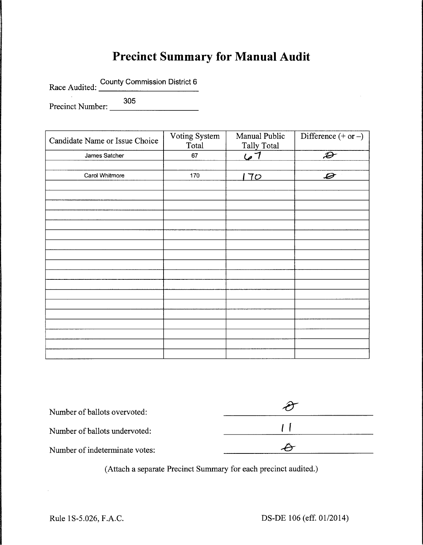# **Precinct Summary for Manual Audit**

Race Audited: County Commission District 6

Precinct Number: 305

| Candidate Name or Issue Choice | Voting System<br>Total | Manual Public<br><b>Tally Total</b> | Difference $(+ or -)$      |
|--------------------------------|------------------------|-------------------------------------|----------------------------|
| James Satcher                  | 67                     | <u>7 می</u> ا                       | $\boldsymbol{\mathcal{D}}$ |
|                                |                        |                                     |                            |
| Carol Whitmore                 | 170                    | 70                                  | $\mathcal{D}$              |
|                                |                        |                                     |                            |
|                                |                        |                                     |                            |
|                                |                        |                                     |                            |
|                                |                        |                                     |                            |
|                                |                        |                                     |                            |
|                                |                        |                                     |                            |
|                                |                        |                                     |                            |
|                                |                        |                                     |                            |
|                                |                        |                                     |                            |
|                                |                        |                                     |                            |
|                                |                        |                                     |                            |
|                                |                        |                                     |                            |
|                                |                        |                                     |                            |
|                                |                        |                                     |                            |
|                                |                        |                                     |                            |
|                                |                        |                                     |                            |
|                                |                        |                                     |                            |
|                                |                        |                                     |                            |

| Number of ballots overvoted:   |  |  |  |
|--------------------------------|--|--|--|
| Number of ballots undervoted:  |  |  |  |
| Number of indeterminate votes: |  |  |  |

(Attach a separate Precinct Summary for each precinct audited.)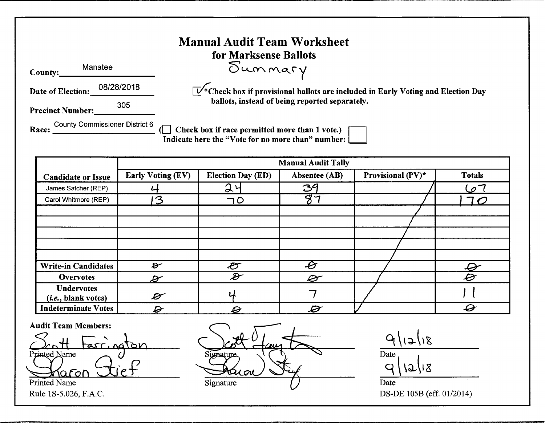|                                                | <b>Manual Audit Team Worksheet</b><br>for Marksense Ballots                                           |
|------------------------------------------------|-------------------------------------------------------------------------------------------------------|
| Manatee<br>County:                             | Summary                                                                                               |
| 08/28/2018<br><b>Date of Election:</b>         | $\sqrt{W^*}$ Check box if provisional ballots are included in Early Voting and Election Day           |
| 305<br><b>Precinct Number:</b>                 | ballots, instead of being reported separately.                                                        |
| <b>County Commissioner District 6</b><br>Race: | Check box if race permitted more than 1 vote.)<br>Indicate here the "Vote for no more than" number: [ |

|                                                   | <b>Manual Audit Tally</b>   |                            |                          |                   |               |  |  |  |  |
|---------------------------------------------------|-----------------------------|----------------------------|--------------------------|-------------------|---------------|--|--|--|--|
| <b>Candidate or Issue</b>                         | <b>Early Voting (EV)</b>    | <b>Election Day (ED)</b>   | Absentee (AB)            | Provisional (PV)* | <b>Totals</b> |  |  |  |  |
| James Satcher (REP)                               |                             | $\mathfrak{D}$             | 39                       |                   | $\sigma$      |  |  |  |  |
| Carol Whitmore (REP)                              | $\mathcal{Z}_{\mathcal{E}}$ | 70                         | $\overline{Q}$           |                   |               |  |  |  |  |
|                                                   |                             |                            |                          |                   |               |  |  |  |  |
|                                                   |                             |                            |                          |                   |               |  |  |  |  |
|                                                   |                             |                            |                          |                   |               |  |  |  |  |
|                                                   |                             |                            |                          |                   |               |  |  |  |  |
|                                                   |                             |                            |                          |                   |               |  |  |  |  |
| <b>Write-in Candidates</b>                        | $\boldsymbol{\vartheta}$    | $\mathcal{E}$              | $\overline{\mathscr{O}}$ |                   |               |  |  |  |  |
| <b>Overvotes</b>                                  | $\overline{\mathscr{L}}$    | $\boldsymbol{\mathcal{E}}$ | Ø                        |                   | $\vartheta$   |  |  |  |  |
| <b>Undervotes</b><br>( <i>i.e.</i> , blank votes) | $\boldsymbol{\mathscr{D}}$  |                            |                          |                   |               |  |  |  |  |
| <b>Indeterminate Votes</b>                        | D                           | O                          | Ø                        |                   | O             |  |  |  |  |

Audit Team Members:

<u>2ott tarrington</u> <u>Xafor</u>

Signature  $\lambda$   $\Omega$ Printed Name Date Date Communication of the Signature Communication of the Date

 $9|12|18$ Date  $9 | 12 | 18$ 

Rule 1S-5.026, F.A.C. DS-DE 105B (eff. 01/2014)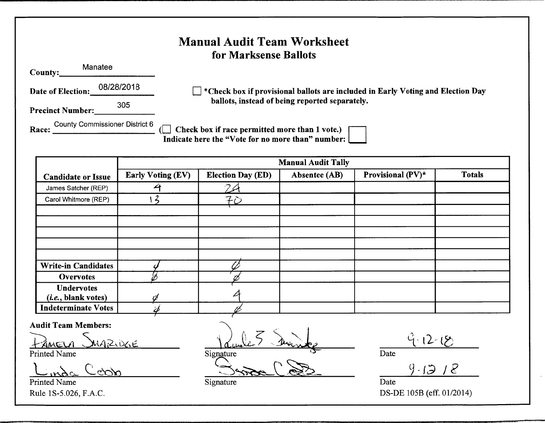### **County:** Manatee **Date of Election:** 08/28/2018 -------**Precinct Number:** <sup>305</sup> -------**Manual Audit Team Worksheet for Marksense Ballots**  D **\*Check box if provisional ballots are included in Early Voting and Election Day ballots, instead of being reported separately.**  County Commissioner District 6 . . **Race:** \_\_\_\_\_\_\_\_\_\_\_ (0 **Check box 1f race permitted more than 1 vote.)** • **Indicate here the "Vote for no more than" number: Manual Audit Tally**

| <b>Candidate or Issue</b>                         | <b>Early Voting (EV)</b> | <b>Election Day (ED)</b> | Absentee (AB) | Provisional (PV)* | <b>Totals</b> |
|---------------------------------------------------|--------------------------|--------------------------|---------------|-------------------|---------------|
| James Satcher (REP)                               |                          |                          |               |                   |               |
| Carol Whitmore (REP)                              |                          | 70                       |               |                   |               |
|                                                   |                          |                          |               |                   |               |
|                                                   |                          |                          |               |                   |               |
|                                                   |                          |                          |               |                   |               |
|                                                   |                          |                          |               |                   |               |
| <b>Write-in Candidates</b>                        |                          |                          |               |                   |               |
| <b>Overvotes</b>                                  |                          |                          |               |                   |               |
| <b>Undervotes</b><br>( <i>i.e.</i> , blank votes) |                          |                          |               |                   |               |
| <b>Indeterminate Votes</b>                        |                          |                          |               |                   |               |

**Audit Team Members:** 

 $M = 10$   $M_A = 10$ 

Printed Name

 $L_{\rm max}$  Coop

Printed Name Date Signature Signature Date Date

Vaule 3 Diante  $S$ ignature

 $9 - 12 - 15$ Date

 $9 - 1318$ 

Rule lS-5.026, F.A.C. DS-DE 105B (eff. 01/2014)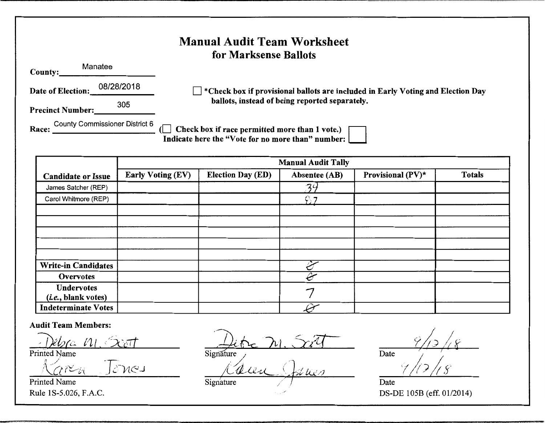| <b>Manual Audit Team Worksheet</b><br>for Marksense Ballots |                                                                                                       |  |  |  |  |  |  |  |
|-------------------------------------------------------------|-------------------------------------------------------------------------------------------------------|--|--|--|--|--|--|--|
| Manatee<br>County:                                          |                                                                                                       |  |  |  |  |  |  |  |
| 08/28/2018<br>Date of Election:                             | $\blacksquare$ *Check box if provisional ballots are included in Early Voting and Election Day        |  |  |  |  |  |  |  |
| 305<br><b>Precinct Number:</b>                              | ballots, instead of being reported separately.                                                        |  |  |  |  |  |  |  |
| <b>County Commissioner District 6</b><br>Race:              | Check box if race permitted more than 1 vote.) [<br>Indicate here the "Vote for no more than" number: |  |  |  |  |  |  |  |

|                                                   | <b>Manual Audit Tally</b> |                          |               |                   |               |  |  |  |  |
|---------------------------------------------------|---------------------------|--------------------------|---------------|-------------------|---------------|--|--|--|--|
| <b>Candidate or Issue</b>                         | <b>Early Voting (EV)</b>  | <b>Election Day (ED)</b> | Absentee (AB) | Provisional (PV)* | <b>Totals</b> |  |  |  |  |
| James Satcher (REP)                               |                           |                          | 24            |                   |               |  |  |  |  |
| Carol Whitmore (REP)                              |                           |                          | C. 7          |                   |               |  |  |  |  |
|                                                   |                           |                          |               |                   |               |  |  |  |  |
|                                                   |                           |                          |               |                   |               |  |  |  |  |
|                                                   |                           |                          |               |                   |               |  |  |  |  |
|                                                   |                           |                          |               |                   |               |  |  |  |  |
|                                                   |                           |                          |               |                   |               |  |  |  |  |
| <b>Write-in Candidates</b>                        |                           |                          |               |                   |               |  |  |  |  |
| Overvotes                                         |                           |                          |               |                   |               |  |  |  |  |
| <b>Undervotes</b><br>( <i>i.e.</i> , blank votes) |                           |                          |               |                   |               |  |  |  |  |
| <b>Indeterminate Votes</b>                        |                           |                          |               |                   |               |  |  |  |  |

**Audit Team Members:** 

*]}hr(~ t-11, ,exert*  Printed Name

 $\frac{1}{2}$ ren Jones

Printed Name Rule 1S-5.026, F.A.C.

*<u>Jitre M. Sort</u>* Signature

 $\mu$   $\mu$ Signature

Date *?;* /\_"'I *I /!.~ /l* 1r *r- <sup>I</sup>* 1/12/18

Date DS-DE 105B (eff. 01/2014)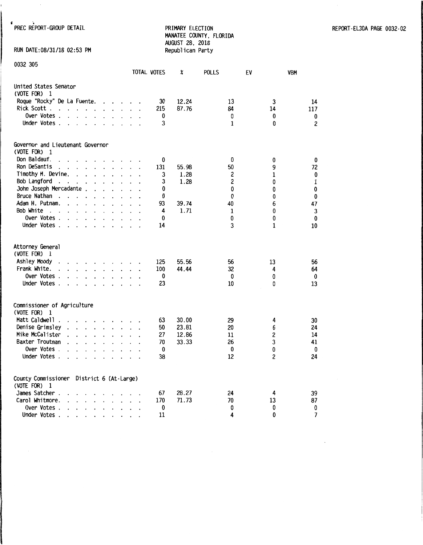-. PREC REPORT-GROUP DETAIL PRIMARY ELECTION REPORT-EL30A PAGE 0032-02 MANATEE COUNTY, FLORIDA AUGUST 28, 2018

RUN DATE:08/31/18 02:53 PM

| 0032 305                                                    |                                              |                          |                      |                      |                      |  |                    |       |              |             |                |
|-------------------------------------------------------------|----------------------------------------------|--------------------------|----------------------|----------------------|----------------------|--|--------------------|-------|--------------|-------------|----------------|
|                                                             |                                              |                          |                      |                      |                      |  | <b>TOTAL VOTES</b> | X     | <b>POLLS</b> | EV          | VBM            |
| United States Senator                                       |                                              |                          |                      |                      |                      |  |                    |       |              |             |                |
| (VOTE FOR) 1                                                |                                              |                          |                      |                      |                      |  |                    |       |              |             |                |
| Roque "Rocky" De La Fuente.                                 |                                              |                          |                      |                      | $\mathbf{r}$         |  | 30                 | 12.24 | 13           | 3           | 14             |
| Rick Scott.<br>$\ddot{\phantom{a}}$<br>$\ddot{\phantom{0}}$ |                                              |                          |                      |                      |                      |  | 215                | 87.76 | 84           | 14          | 117            |
| Over Votes.                                                 |                                              |                          |                      |                      |                      |  | 0                  |       | 0            | 0           | 0              |
| Under Votes.<br>$\ddot{\phantom{0}}$                        | $\ddot{\phantom{0}}$                         |                          |                      |                      |                      |  | 3                  |       | 1            | 0           | $\overline{c}$ |
| Governor and Lieutenant Governor                            |                                              |                          |                      |                      |                      |  |                    |       |              |             |                |
| (VOTE FOR)<br>$\overline{1}$                                |                                              |                          |                      |                      |                      |  |                    |       |              |             |                |
| Don Baldauf.                                                |                                              |                          |                      |                      |                      |  | 0                  |       | 0            | 0           | 0              |
| Ron DeSantis<br>$\ddot{\phantom{0}}$                        | $\ddot{\phantom{a}}$                         | $\ddot{\phantom{0}}$     |                      | $\ddot{\phantom{a}}$ |                      |  | 131                | 55.98 | 50           | 9           | 72             |
| Timothy M. Devine.                                          | $\ddot{\phantom{a}}$                         |                          |                      |                      |                      |  | 3                  | 1.28  | 2            | 1           | 0              |
| Bob Langford                                                | $\ddot{\phantom{0}}$<br>$\ddot{\phantom{0}}$ | $\ddot{\phantom{0}}$     | $\ddot{\phantom{a}}$ |                      | $\ddot{\phantom{0}}$ |  | 3                  | 1.28  | 2            | 0           | $\mathbf 1$    |
| John Joseph Mercadante                                      |                                              |                          |                      |                      |                      |  | 0                  |       | 0            | 0           | 0              |
| Bruce Nathan                                                |                                              | $\ddot{\phantom{0}}$     | $\ddot{\phantom{a}}$ | $\ddot{\phantom{a}}$ | $\ddot{\phantom{0}}$ |  | 0                  |       | $\mathbf{0}$ | 0           | 0              |
| Adam H. Putnam.                                             |                                              |                          |                      |                      |                      |  | 93                 | 39.74 | 40           | 6           | 47             |
| Bob White<br>$\sim$<br>$\ddot{\phantom{0}}$                 | $\ddot{\phantom{0}}$                         |                          |                      |                      |                      |  | 4                  | 1.71  | 1            | 0           | $\mathbf{3}$   |
| Over Votes.<br>$\ddot{\phantom{a}}$                         | $\sim$                                       |                          |                      |                      |                      |  | 0                  |       | 0            | 0           | 0              |
| Under Votes .<br>t.                                         | $\cdot$ $\cdot$ $\cdot$ $\cdot$              |                          |                      | $\Box$               | $\ddot{\phantom{a}}$ |  | 14                 |       | 3            | $\mathbf 1$ | 10             |
| Attorney General<br>(VOTE FOR) 1                            |                                              |                          |                      |                      |                      |  |                    |       |              |             |                |
| Ashley Moody                                                |                                              |                          |                      |                      |                      |  | 125                | 55.56 | 56           | 13          | 56             |
| Frank White.                                                |                                              |                          |                      |                      |                      |  | 100                | 44.44 | 32           | 4           | 64             |
| Over Votes.<br>$\ddot{\phantom{a}}$                         | $\cdot$                                      | $\cdot$                  | $\cdot$              | $\ddot{\phantom{0}}$ | $\ddot{\phantom{0}}$ |  | 0                  |       | 0            | 0           | 0              |
| Under Votes.                                                | $\ddot{\phantom{1}}$                         | $\overline{\phantom{a}}$ |                      |                      |                      |  | 23                 |       | 10           | 0           | 13             |
| Commissioner of Agriculture<br>(VOTE FOR)<br>$\overline{1}$ |                                              |                          |                      |                      |                      |  |                    |       |              |             |                |
| Matt Caldwell                                               |                                              |                          |                      |                      |                      |  | 63                 | 30.00 | 29           | 4           | 30             |
| Denise Grimsley                                             |                                              | $\cdot$                  |                      |                      |                      |  | 50                 | 23.81 | 20           | 6           | 24             |
| Mike McCalister                                             |                                              | $\cdot$                  |                      |                      | $\cdot$              |  | 27                 | 12.86 | 11           | 2           | 14             |
| Baxter Troutman                                             |                                              |                          |                      |                      |                      |  | 70                 | 33.33 | 26           | 3           | 41             |
| Over Votes .                                                |                                              | $\ddot{\phantom{0}}$     |                      |                      |                      |  | 0                  |       | 0            | 0           | 0              |
| Under Votes.                                                |                                              |                          |                      |                      |                      |  | 38                 |       | 12           | 2           | 24             |
| County Commissioner<br>(VOTE FOR)<br>-1                     | District 6 (At Large)                        |                          |                      |                      |                      |  |                    |       |              |             |                |
| James Satcher .                                             |                                              |                          |                      |                      |                      |  | 67                 | 28.27 | 24           | 4           | 39             |
| Carol Whitmore.                                             |                                              |                          |                      |                      |                      |  | 170                | 71.73 | 70           | 13          | 87             |
| Over Votes                                                  |                                              |                          |                      |                      |                      |  | 0                  |       | 0            | 0           | 0              |
| Under Votes.<br>$\cdot$                                     |                                              |                          |                      |                      |                      |  | 11                 |       | 4            | 0           | $\overline{7}$ |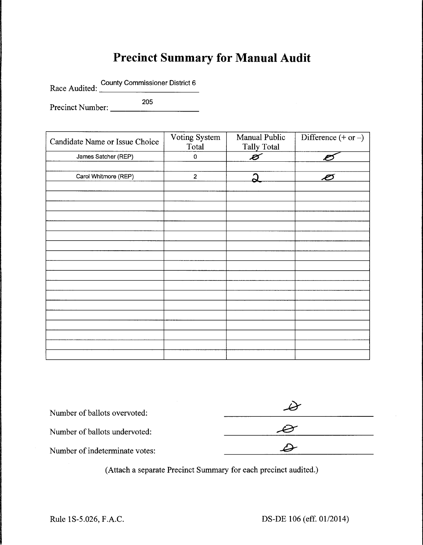## **Precinct Summary for Manual Audit**

County Commissioner District 6 Race Audited: County Commissioner District 6

Precinct Number: 205

| Candidate Name or Issue Choice | Voting System<br>Total | Manual Public<br><b>Tally Total</b> | Difference $(+ or -)$ |
|--------------------------------|------------------------|-------------------------------------|-----------------------|
| James Satcher (REP)            | $\pmb{0}$              | B                                   |                       |
|                                |                        |                                     |                       |
| Carol Whitmore (REP)           | $\overline{2}$         | 5                                   | Ø                     |
|                                |                        |                                     |                       |
|                                |                        |                                     |                       |
|                                |                        |                                     |                       |
|                                |                        |                                     |                       |
|                                |                        |                                     |                       |
|                                |                        |                                     |                       |
|                                |                        |                                     |                       |
|                                |                        |                                     |                       |
|                                |                        |                                     |                       |
|                                |                        |                                     |                       |
|                                |                        |                                     |                       |
|                                |                        |                                     |                       |
|                                |                        |                                     |                       |
|                                |                        |                                     |                       |
|                                |                        |                                     |                       |
|                                |                        |                                     |                       |
|                                |                        |                                     |                       |
|                                |                        |                                     |                       |

| Number of ballots overvoted:   |  |  |  |
|--------------------------------|--|--|--|
| Number of ballots undervoted:  |  |  |  |
| Number of indeterminate votes: |  |  |  |

(Attach a separate Precinct Summary for each precinct audited.)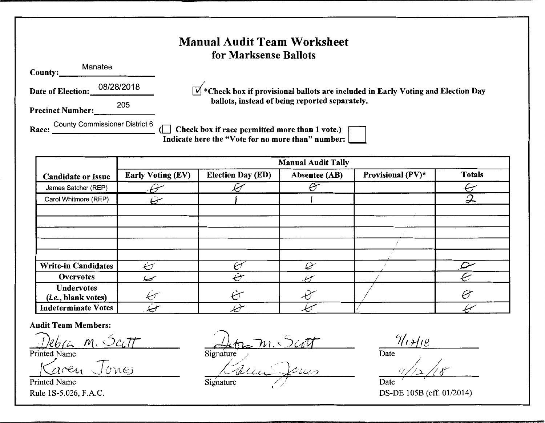### **Manual Audit Team Worksheet for Marksense Ballots**

**County:** Manatee

**Date of Election:** 08/28/2018

/ **\*Check box if provisional ballots are included in Early Voting and Election Day ballots, instead of being reported separately.** 

**Precinct Number:** <sup>205</sup>

County Commissioner District 6 • • **Race:** \_\_\_\_\_\_\_\_\_\_\_ (0 **Check box 1f race permitted more than 1 vote.)** • **Indicate here the "Vote for no more than" number:** 

|                                                   | <b>Manual Audit Tally</b> |                          |               |                   |                            |  |  |  |  |
|---------------------------------------------------|---------------------------|--------------------------|---------------|-------------------|----------------------------|--|--|--|--|
| <b>Candidate or Issue</b>                         | <b>Early Voting (EV)</b>  | <b>Election Day (ED)</b> | Absentee (AB) | Provisional (PV)* | <b>Totals</b>              |  |  |  |  |
| James Satcher (REP)                               |                           |                          | $\epsilon$    |                   | $\in$                      |  |  |  |  |
| Carol Whitmore (REP)                              |                           |                          |               |                   | $\boldsymbol{\mathcal{Z}}$ |  |  |  |  |
|                                                   |                           |                          |               |                   |                            |  |  |  |  |
|                                                   |                           |                          |               |                   |                            |  |  |  |  |
|                                                   |                           |                          |               |                   |                            |  |  |  |  |
|                                                   |                           |                          |               |                   |                            |  |  |  |  |
|                                                   |                           |                          |               |                   |                            |  |  |  |  |
| <b>Write-in Candidates</b>                        | رست                       |                          | سينيكا        |                   |                            |  |  |  |  |
| Overvotes                                         | سيسيك                     | ميث                      |               |                   | Ç,                         |  |  |  |  |
| <b>Undervotes</b><br>( <i>i.e.</i> , blank votes) | تبسكم                     |                          |               |                   | Ò                          |  |  |  |  |
| <b>Indeterminate Votes</b>                        | ↩                         |                          |               |                   |                            |  |  |  |  |

**Audit Team Members:** 

Karen Jones

Printed Name

*<u>Deb<sub>l</sub> communisties</u>*<br>Printed Name **7** *M*<sub>I</sub>, *Scott*<br>Printed Name **7** *Signature 1 Detc Date Date* 

Signature

/:1J *~.Le -~---~}it.<.* :7 <sup>7</sup>Signature *//* (

Date

*/* / ' > /Ii */j* !':' *<sup>I</sup>*, / -4- ).\_ *,..:.<-"'"~* ...:Q\_"-- **7-** Date

Rule 1S-5.026, F.A.C. DS-DE 105B (eff. 01/2014)